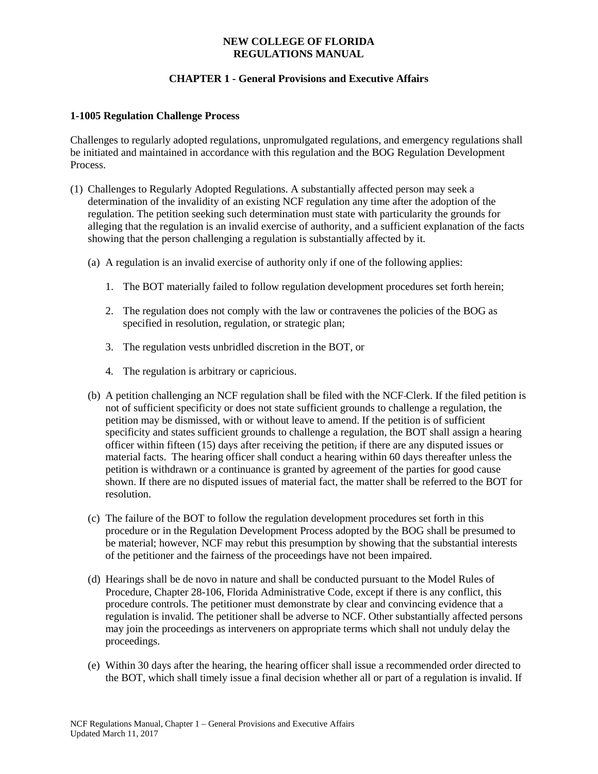## **NEW COLLEGE OF FLORIDA REGULATIONS MANUAL**

# **CHAPTER 1 - General Provisions and Executive Affairs**

#### **1-1005 Regulation Challenge Process**

Challenges to regularly adopted regulations, unpromulgated regulations, and emergency regulations shall be initiated and maintained in accordance with this regulation and the BOG Regulation Development Process.

- (1) Challenges to Regularly Adopted Regulations. A substantially affected person may seek a determination of the invalidity of an existing NCF regulation any time after the adoption of the regulation. The petition seeking such determination must state with particularity the grounds for alleging that the regulation is an invalid exercise of authority, and a sufficient explanation of the facts showing that the person challenging a regulation is substantially affected by it.
	- (a) A regulation is an invalid exercise of authority only if one of the following applies:
		- 1. The BOT materially failed to follow regulation development procedures set forth herein;
		- 2. The regulation does not comply with the law or contravenes the policies of the BOG as specified in resolution, regulation, or strategic plan;
		- 3. The regulation vests unbridled discretion in the BOT, or
		- 4. The regulation is arbitrary or capricious.
	- (b) A petition challenging an NCF regulation shall be filed with the NCF Clerk. If the filed petition is not of sufficient specificity or does not state sufficient grounds to challenge a regulation, the petition may be dismissed, with or without leave to amend. If the petition is of sufficient specificity and states sufficient grounds to challenge a regulation, the BOT shall assign a hearing officer within fifteen (15) days after receiving the petition, if there are any disputed issues or material facts. The hearing officer shall conduct a hearing within 60 days thereafter unless the petition is withdrawn or a continuance is granted by agreement of the parties for good cause shown. If there are no disputed issues of material fact, the matter shall be referred to the BOT for resolution.
	- (c) The failure of the BOT to follow the regulation development procedures set forth in this procedure or in the Regulation Development Process adopted by the BOG shall be presumed to be material; however, NCF may rebut this presumption by showing that the substantial interests of the petitioner and the fairness of the proceedings have not been impaired.
	- (d) Hearings shall be de novo in nature and shall be conducted pursuant to the Model Rules of Procedure, Chapter 28-106, Florida Administrative Code, except if there is any conflict, this procedure controls. The petitioner must demonstrate by clear and convincing evidence that a regulation is invalid. The petitioner shall be adverse to NCF. Other substantially affected persons may join the proceedings as interveners on appropriate terms which shall not unduly delay the proceedings.
	- (e) Within 30 days after the hearing, the hearing officer shall issue a recommended order directed to the BOT, which shall timely issue a final decision whether all or part of a regulation is invalid. If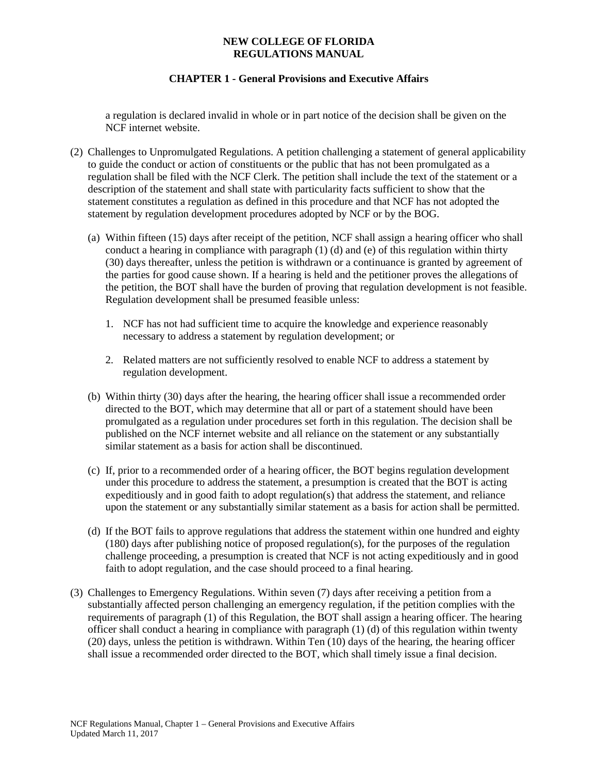### **NEW COLLEGE OF FLORIDA REGULATIONS MANUAL**

# **CHAPTER 1 - General Provisions and Executive Affairs**

a regulation is declared invalid in whole or in part notice of the decision shall be given on the NCF internet website.

- (2) Challenges to Unpromulgated Regulations. A petition challenging a statement of general applicability to guide the conduct or action of constituents or the public that has not been promulgated as a regulation shall be filed with the NCF Clerk. The petition shall include the text of the statement or a description of the statement and shall state with particularity facts sufficient to show that the statement constitutes a regulation as defined in this procedure and that NCF has not adopted the statement by regulation development procedures adopted by NCF or by the BOG.
	- (a) Within fifteen (15) days after receipt of the petition, NCF shall assign a hearing officer who shall conduct a hearing in compliance with paragraph  $(1)$  (d) and (e) of this regulation within thirty (30) days thereafter, unless the petition is withdrawn or a continuance is granted by agreement of the parties for good cause shown. If a hearing is held and the petitioner proves the allegations of the petition, the BOT shall have the burden of proving that regulation development is not feasible. Regulation development shall be presumed feasible unless:
		- 1. NCF has not had sufficient time to acquire the knowledge and experience reasonably necessary to address a statement by regulation development; or
		- 2. Related matters are not sufficiently resolved to enable NCF to address a statement by regulation development.
	- (b) Within thirty (30) days after the hearing, the hearing officer shall issue a recommended order directed to the BOT, which may determine that all or part of a statement should have been promulgated as a regulation under procedures set forth in this regulation. The decision shall be published on the NCF internet website and all reliance on the statement or any substantially similar statement as a basis for action shall be discontinued.
	- (c) If, prior to a recommended order of a hearing officer, the BOT begins regulation development under this procedure to address the statement, a presumption is created that the BOT is acting expeditiously and in good faith to adopt regulation(s) that address the statement, and reliance upon the statement or any substantially similar statement as a basis for action shall be permitted.
	- (d) If the BOT fails to approve regulations that address the statement within one hundred and eighty (180) days after publishing notice of proposed regulation(s), for the purposes of the regulation challenge proceeding, a presumption is created that NCF is not acting expeditiously and in good faith to adopt regulation, and the case should proceed to a final hearing.
- (3) Challenges to Emergency Regulations. Within seven (7) days after receiving a petition from a substantially affected person challenging an emergency regulation, if the petition complies with the requirements of paragraph (1) of this Regulation, the BOT shall assign a hearing officer. The hearing officer shall conduct a hearing in compliance with paragraph (1) (d) of this regulation within twenty (20) days, unless the petition is withdrawn. Within Ten (10) days of the hearing, the hearing officer shall issue a recommended order directed to the BOT, which shall timely issue a final decision.